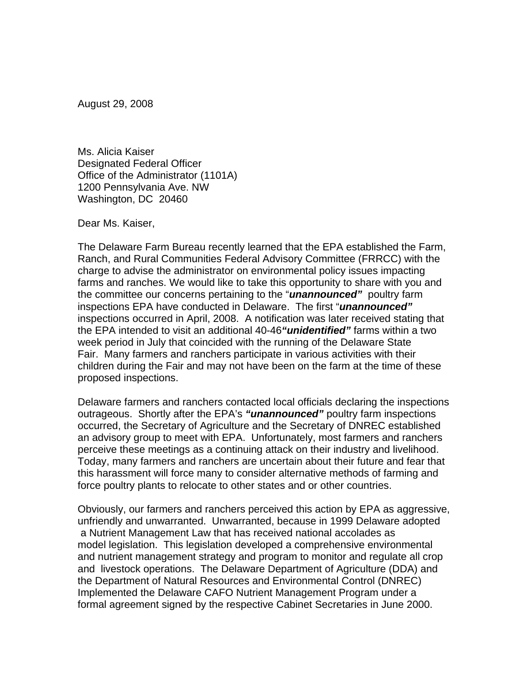August 29, 2008

Ms. Alicia Kaiser Designated Federal Officer Office of the Administrator (1101A) 1200 Pennsylvania Ave. NW Washington, DC 20460

Dear Ms. Kaiser,

The Delaware Farm Bureau recently learned that the EPA established the Farm, Ranch, and Rural Communities Federal Advisory Committee (FRRCC) with the charge to advise the administrator on environmental policy issues impacting farms and ranches. We would like to take this opportunity to share with you and the committee our concerns pertaining to the "*unannounced"* poultry farm inspections EPA have conducted in Delaware. The first "*unannounced"* inspections occurred in April, 2008. A notification was later received stating that the EPA intended to visit an additional 40-46*"unidentified"* farms within a two week period in July that coincided with the running of the Delaware State Fair. Many farmers and ranchers participate in various activities with their children during the Fair and may not have been on the farm at the time of these proposed inspections.

Delaware farmers and ranchers contacted local officials declaring the inspections outrageous. Shortly after the EPA's *"unannounced"* poultry farm inspections occurred, the Secretary of Agriculture and the Secretary of DNREC established an advisory group to meet with EPA. Unfortunately, most farmers and ranchers perceive these meetings as a continuing attack on their industry and livelihood. Today, many farmers and ranchers are uncertain about their future and fear that this harassment will force many to consider alternative methods of farming and force poultry plants to relocate to other states and or other countries.

Obviously, our farmers and ranchers perceived this action by EPA as aggressive, unfriendly and unwarranted. Unwarranted, because in 1999 Delaware adopted a Nutrient Management Law that has received national accolades as model legislation. This legislation developed a comprehensive environmental and nutrient management strategy and program to monitor and regulate all crop and livestock operations. The Delaware Department of Agriculture (DDA) and the Department of Natural Resources and Environmental Control (DNREC) Implemented the Delaware CAFO Nutrient Management Program under a formal agreement signed by the respective Cabinet Secretaries in June 2000.